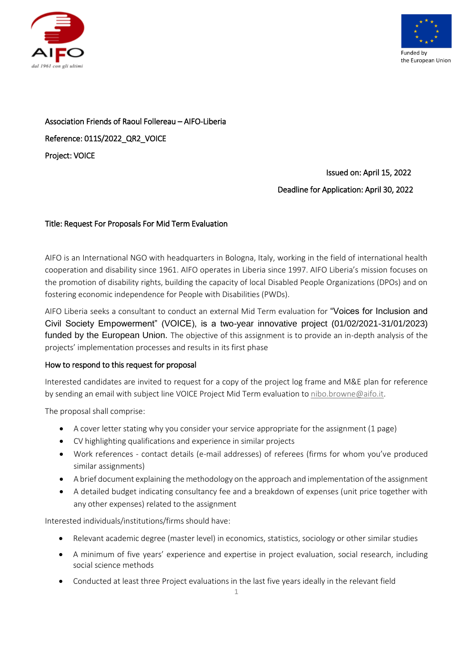



Association Friends of Raoul Follereau – AIFO-Liberia Reference: 011S/2022\_QR2\_VOICE Project: VOICE

> Issued on: April 15, 2022 Deadline for Application: April 30, 2022

# Title: Request For Proposals For Mid Term Evaluation

AIFO is an International NGO with headquarters in Bologna, Italy, working in the field of international health cooperation and disability since 1961. AIFO operates in Liberia since 1997. AIFO Liberia's mission focuses on the promotion of disability rights, building the capacity of local Disabled People Organizations (DPOs) and on fostering economic independence for People with Disabilities (PWDs).

AIFO Liberia seeks a consultant to conduct an external Mid Term evaluation for "Voices for Inclusion and Civil Society Empowerment" (VOICE), is a two-year innovative project (01/02/2021-31/01/2023) funded by the European Union. The objective of this assignment is to provide an in-depth analysis of the projects' implementation processes and results in its first phase

#### How to respond to this request for proposal

Interested candidates are invited to request for a copy of the project log frame and M&E plan for reference by sending an email with subject line VOICE Project Mid Term evaluation t[o nibo.browne@aifo.it.](mailto:nibo.browne@aifo.it)

The proposal shall comprise:

- A cover letter stating why you consider your service appropriate for the assignment (1 page)
- CV highlighting qualifications and experience in similar projects
- Work references contact details (e-mail addresses) of referees (firms for whom you've produced similar assignments)
- A brief document explaining the methodology on the approach and implementation of the assignment
- A detailed budget indicating consultancy fee and a breakdown of expenses (unit price together with any other expenses) related to the assignment

Interested individuals/institutions/firms should have:

- Relevant academic degree (master level) in economics, statistics, sociology or other similar studies
- A minimum of five years' experience and expertise in project evaluation, social research, including social science methods
- Conducted at least three Project evaluations in the last five years ideally in the relevant field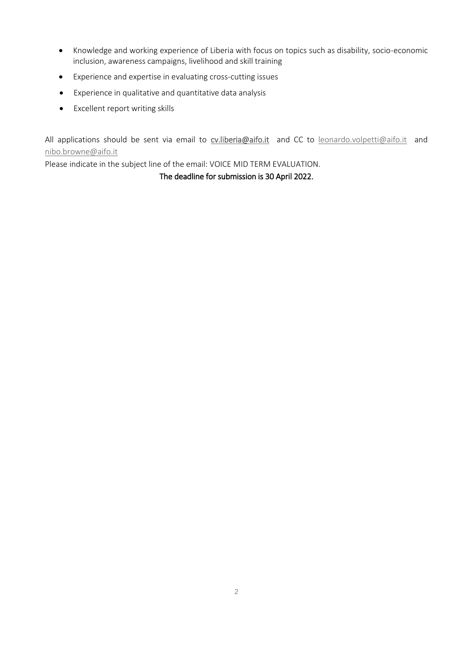- Knowledge and working experience of Liberia with focus on topics such as disability, socio-economic inclusion, awareness campaigns, livelihood and skill training
- Experience and expertise in evaluating cross-cutting issues
- Experience in qualitative and quantitative data analysis
- Excellent report writing skills

All applications should be sent via email to [cv.liberia@aifo.it](mailto:cv.liberia@aifo.it) and CC to [leonardo.volpetti@aifo.it](mailto:leonardo.volpetti@aifo.it) and [nibo.browne@aifo.it](mailto:nibo.browne@aifo.it) 

Please indicate in the subject line of the email: VOICE MID TERM EVALUATION.

The deadline for submission is 30 April 2022.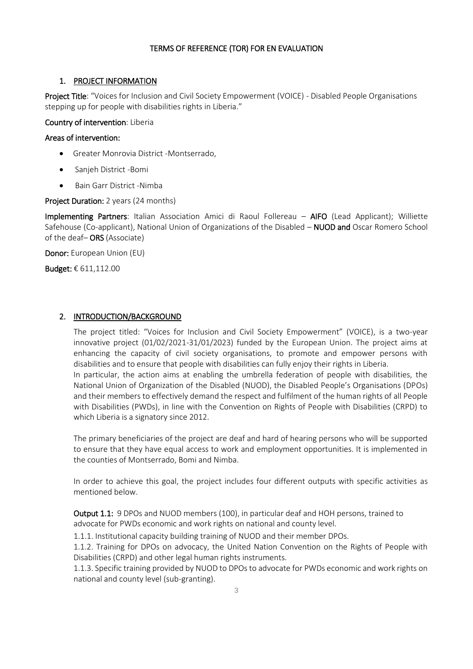### TERMS OF REFERENCE (TOR) FOR EN EVALUATION

#### 1. PROJECT INFORMATION

Project Title: "Voices for Inclusion and Civil Society Empowerment (VOICE) - Disabled People Organisations stepping up for people with disabilities rights in Liberia."

Country of intervention: Liberia

#### Areas of intervention:

- Greater Monrovia District -Montserrado,
- Sanjeh District -Bomi
- Bain Garr District -Nimba

#### Project Duration: 2 years (24 months)

Implementing Partners: Italian Association Amici di Raoul Follereau – AIFO (Lead Applicant); Williette Safehouse (Co-applicant), National Union of Organizations of the Disabled – NUOD and Oscar Romero School of the deaf– ORS (Associate)

Donor: European Union (EU)

Budget: € 611,112.00

#### 2. INTRODUCTION/BACKGROUND

The project titled: "Voices for Inclusion and Civil Society Empowerment" (VOICE), is a two-year innovative project (01/02/2021-31/01/2023) funded by the European Union. The project aims at enhancing the capacity of civil society organisations, to promote and empower persons with disabilities and to ensure that people with disabilities can fully enjoy their rights in Liberia. In particular, the action aims at enabling the umbrella federation of people with disabilities, the National Union of Organization of the Disabled (NUOD), the Disabled People's Organisations (DPOs)

and their members to effectively demand the respect and fulfilment of the human rights of all People with Disabilities (PWDs), in line with the Convention on Rights of People with Disabilities (CRPD) to which Liberia is a signatory since 2012.

The primary beneficiaries of the project are deaf and hard of hearing persons who will be supported to ensure that they have equal access to work and employment opportunities. It is implemented in the counties of Montserrado, Bomi and Nimba.

In order to achieve this goal, the project includes four different outputs with specific activities as mentioned below.

Output 1.1: 9 DPOs and NUOD members (100), in particular deaf and HOH persons, trained to advocate for PWDs economic and work rights on national and county level.

1.1.1. Institutional capacity building training of NUOD and their member DPOs.

1.1.2. Training for DPOs on advocacy, the United Nation Convention on the Rights of People with Disabilities (CRPD) and other legal human rights instruments.

1.1.3. Specific training provided by NUOD to DPOs to advocate for PWDs economic and work rights on national and county level (sub-granting).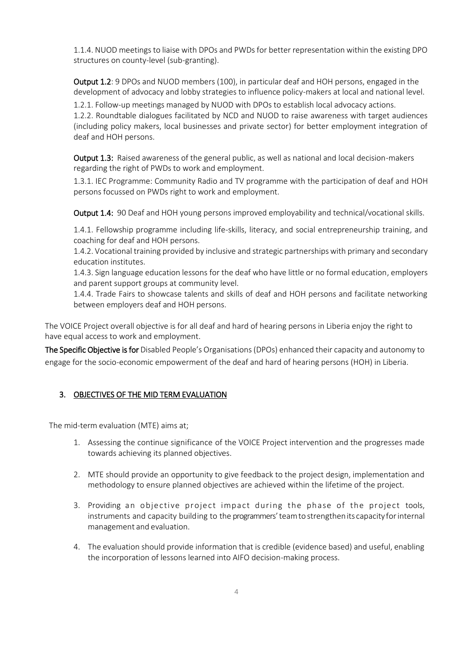1.1.4. NUOD meetings to liaise with DPOs and PWDs for better representation within the existing DPO structures on county-level (sub-granting).

Output 1.2: 9 DPOs and NUOD members (100), in particular deaf and HOH persons, engaged in the development of advocacy and lobby strategies to influence policy-makers at local and national level.

1.2.1. Follow-up meetings managed by NUOD with DPOs to establish local advocacy actions. 1.2.2. Roundtable dialogues facilitated by NCD and NUOD to raise awareness with target audiences (including policy makers, local businesses and private sector) for better employment integration of deaf and HOH persons.

Output 1.3: Raised awareness of the general public, as well as national and local decision-makers regarding the right of PWDs to work and employment.

1.3.1. IEC Programme: Community Radio and TV programme with the participation of deaf and HOH persons focussed on PWDs right to work and employment.

Output 1.4: 90 Deaf and HOH young persons improved employability and technical/vocational skills.

1.4.1. Fellowship programme including life-skills, literacy, and social entrepreneurship training, and coaching for deaf and HOH persons.

1.4.2. Vocational training provided by inclusive and strategic partnerships with primary and secondary education institutes.

1.4.3. Sign language education lessons for the deaf who have little or no formal education, employers and parent support groups at community level.

1.4.4. Trade Fairs to showcase talents and skills of deaf and HOH persons and facilitate networking between employers deaf and HOH persons.

The VOICE Project overall objective is for all deaf and hard of hearing persons in Liberia enjoy the right to have equal access to work and employment.

The Specific Objective is for Disabled People's Organisations (DPOs) enhanced their capacity and autonomy to engage for the socio-economic empowerment of the deaf and hard of hearing persons (HOH) in Liberia.

# 3. OBJECTIVES OF THE MID TERM EVALUATION

The mid-term evaluation (MTE) aims at;

- 1. Assessing the continue significance of the VOICE Project intervention and the progresses made towards achieving its planned objectives.
- 2. MTE should provide an opportunity to give feedback to the project design, implementation and methodology to ensure planned objectives are achieved within the lifetime of the project.
- 3. Providing an objective project impact during the phase of the project tools, instruments and capacity building to the programmers'teamto strengthenits capacity forinternal management and evaluation.
- 4. The evaluation should provide information that is credible (evidence based) and useful, enabling the incorporation of lessons learned into AIFO decision-making process.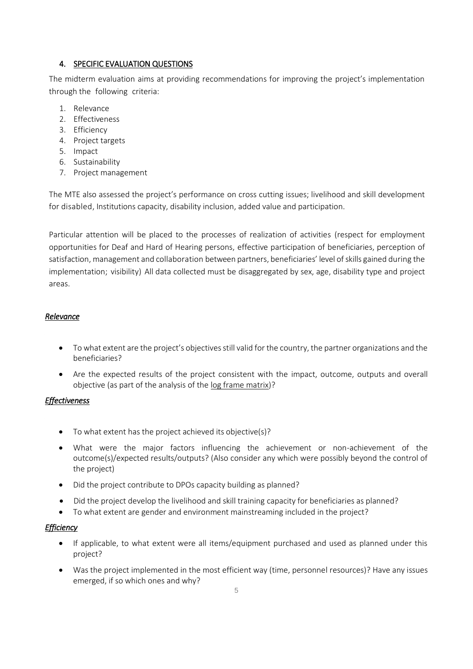## 4. SPECIFIC EVALUATION QUESTIONS

The midterm evaluation aims at providing recommendations for improving the project's implementation through the following criteria:

- 1. Relevance
- 2. Effectiveness
- 3. Efficiency
- 4. Project targets
- 5. Impact
- 6. Sustainability
- 7. Project management

The MTE also assessed the project's performance on cross cutting issues; livelihood and skill development for disabled, Institutions capacity, disability inclusion, added value and participation.

Particular attention will be placed to the processes of realization of activities (respect for employment opportunities for Deaf and Hard of Hearing persons, effective participation of beneficiaries, perception of satisfaction, management and collaboration between partners, beneficiaries' level of skills gained during the implementation; visibility) All data collected must be disaggregated by sex, age, disability type and project areas.

### *Relevance*

- To what extent are the project's objectives still valid for the country, the partner organizations and the beneficiaries?
- Are the expected results of the project consistent with the impact, outcome, outputs and overall objective (as part of the analysis of the log frame matrix)?

# *Effectiveness*

- To what extent has the project achieved its objective(s)?
- What were the major factors influencing the achievement or non-achievement of the outcome(s)/expected results/outputs? (Also consider any which were possibly beyond the control of the project)
- Did the project contribute to DPOs capacity building as planned?
- Did the project develop the livelihood and skill training capacity for beneficiaries as planned?
- To what extent are gender and environment mainstreaming included in the project?

#### *Efficiency*

- If applicable, to what extent were all items/equipment purchased and used as planned under this project?
- Was the project implemented in the most efficient way (time, personnel resources)? Have any issues emerged, if so which ones and why?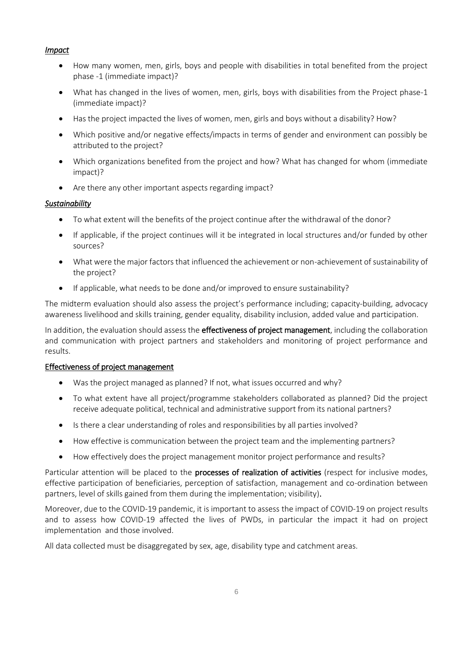### *Impact*

- How many women, men, girls, boys and people with disabilities in total benefited from the project phase -1 (immediate impact)?
- What has changed in the lives of women, men, girls, boys with disabilities from the Project phase-1 (immediate impact)?
- Has the project impacted the lives of women, men, girls and boys without a disability? How?
- Which positive and/or negative effects/impacts in terms of gender and environment can possibly be attributed to the project?
- Which organizations benefited from the project and how? What has changed for whom (immediate impact)?
- Are there any other important aspects regarding impact?

### *Sustainability*

- To what extent will the benefits of the project continue after the withdrawal of the donor?
- If applicable, if the project continues will it be integrated in local structures and/or funded by other sources?
- What were the major factors that influenced the achievement or non-achievement of sustainability of the project?
- If applicable, what needs to be done and/or improved to ensure sustainability?

The midterm evaluation should also assess the project's performance including; capacity-building, advocacy awareness livelihood and skills training, gender equality, disability inclusion, added value and participation.

In addition, the evaluation should assess the **effectiveness of project management**, including the collaboration and communication with project partners and stakeholders and monitoring of project performance and results.

#### Effectiveness of project management

- Was the project managed as planned? If not, what issues occurred and why?
- To what extent have all project/programme stakeholders collaborated as planned? Did the project receive adequate political, technical and administrative support from its national partners?
- Is there a clear understanding of roles and responsibilities by all parties involved?
- How effective is communication between the project team and the implementing partners?
- How effectively does the project management monitor project performance and results?

Particular attention will be placed to the **processes of realization of activities** (respect for inclusive modes, effective participation of beneficiaries, perception of satisfaction, management and co-ordination between partners, level of skills gained from them during the implementation; visibility).

Moreover, due to the COVID-19 pandemic, it is important to assess the impact of COVID-19 on project results and to assess how COVID-19 affected the lives of PWDs, in particular the impact it had on project implementation and those involved.

All data collected must be disaggregated by sex, age, disability type and catchment areas.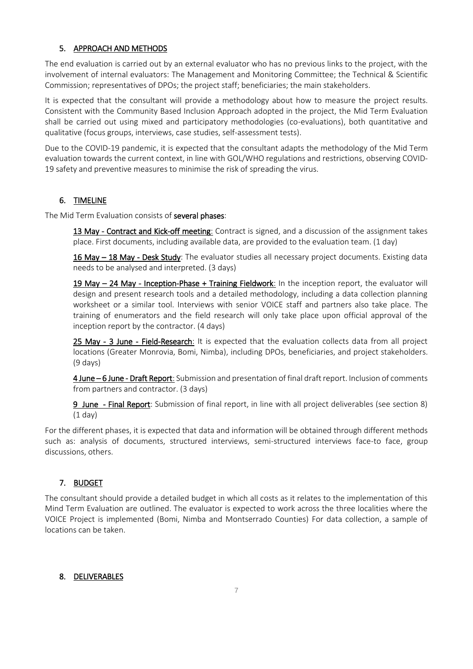# 5. APPROACH AND METHODS

The end evaluation is carried out by an external evaluator who has no previous links to the project, with the involvement of internal evaluators: The Management and Monitoring Committee; the Technical & Scientific Commission; representatives of DPOs; the project staff; beneficiaries; the main stakeholders.

It is expected that the consultant will provide a methodology about how to measure the project results. Consistent with the Community Based Inclusion Approach adopted in the project, the Mid Term Evaluation shall be carried out using mixed and participatory methodologies (co-evaluations), both quantitative and qualitative (focus groups, interviews, case studies, self-assessment tests).

Due to the COVID-19 pandemic, it is expected that the consultant adapts the methodology of the Mid Term evaluation towards the current context, in line with GOL/WHO regulations and restrictions, observing COVID-19 safety and preventive measures to minimise the risk of spreading the virus.

### 6. TIMELINE

The Mid Term Evaluation consists of several phases:

13 May - Contract and Kick-off meeting: Contract is signed, and a discussion of the assignment takes place. First documents, including available data, are provided to the evaluation team. (1 day)

16 May - 18 May - Desk Study: The evaluator studies all necessary project documents. Existing data needs to be analysed and interpreted. (3 days)

19 May – 24 May - Inception-Phase + Training Fieldwork: In the inception report, the evaluator will design and present research tools and a detailed methodology, including a data collection planning worksheet or a similar tool. Interviews with senior VOICE staff and partners also take place. The training of enumerators and the field research will only take place upon official approval of the inception report by the contractor. (4 days)

25 May - 3 June - Field-Research: It is expected that the evaluation collects data from all project locations (Greater Monrovia, Bomi, Nimba), including DPOs, beneficiaries, and project stakeholders. (9 days)

4 June – 6 June - Draft Report: Submission and presentation of final draft report. Inclusion of comments from partners and contractor. (3 days)

9 June - Final Report: Submission of final report, in line with all project deliverables (see section 8) (1 day)

For the different phases, it is expected that data and information will be obtained through different methods such as: analysis of documents, structured interviews, semi-structured interviews face-to face, group discussions, others.

# 7. BUDGET

The consultant should provide a detailed budget in which all costs as it relates to the implementation of this Mind Term Evaluation are outlined. The evaluator is expected to work across the three localities where the VOICE Project is implemented (Bomi, Nimba and Montserrado Counties) For data collection, a sample of locations can be taken.

# 8. DELIVERABLES